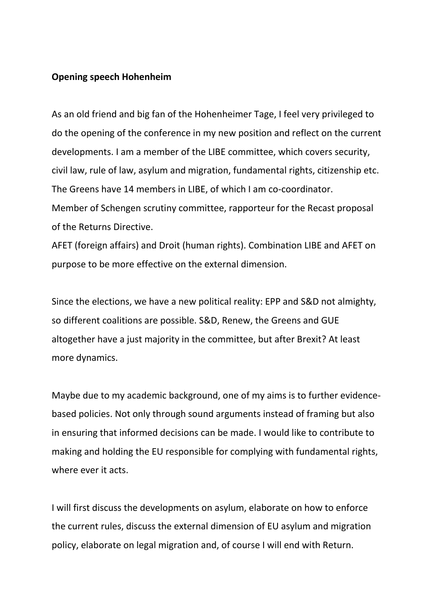## **Opening speech Hohenheim**

As an old friend and big fan of the Hohenheimer Tage, I feel very privileged to do the opening of the conference in my new position and reflect on the current developments. I am a member of the LIBE committee, which covers security, civil law, rule of law, asylum and migration, fundamental rights, citizenship etc. The Greens have 14 members in LIBE, of which I am co-coordinator. Member of Schengen scrutiny committee, rapporteur for the Recast proposal of the Returns Directive.

AFET (foreign affairs) and Droit (human rights). Combination LIBE and AFET on purpose to be more effective on the external dimension.

Since the elections, we have a new political reality: EPP and S&D not almighty, so different coalitions are possible. S&D, Renew, the Greens and GUE altogether have a just majority in the committee, but after Brexit? At least more dynamics.

Maybe due to my academic background, one of my aims is to further evidencebased policies. Not only through sound arguments instead of framing but also in ensuring that informed decisions can be made. I would like to contribute to making and holding the EU responsible for complying with fundamental rights, where ever it acts.

I will first discuss the developments on asylum, elaborate on how to enforce the current rules, discuss the external dimension of EU asylum and migration policy, elaborate on legal migration and, of course I will end with Return.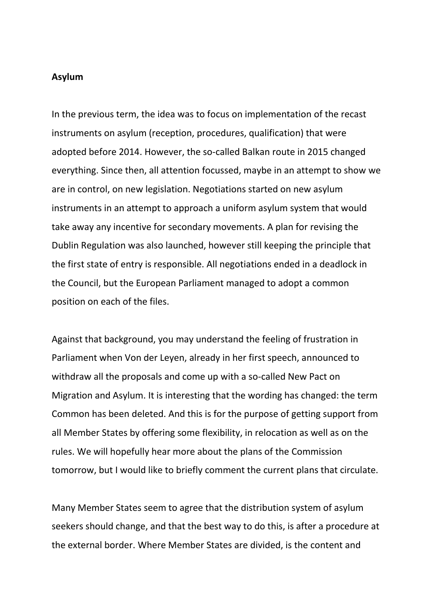# **Asylum**

In the previous term, the idea was to focus on implementation of the recast instruments on asylum (reception, procedures, qualification) that were adopted before 2014. However, the so-called Balkan route in 2015 changed everything. Since then, all attention focussed, maybe in an attempt to show we are in control, on new legislation. Negotiations started on new asylum instruments in an attempt to approach a uniform asylum system that would take away any incentive for secondary movements. A plan for revising the Dublin Regulation was also launched, however still keeping the principle that the first state of entry is responsible. All negotiations ended in a deadlock in the Council, but the European Parliament managed to adopt a common position on each of the files.

Against that background, you may understand the feeling of frustration in Parliament when Von der Leyen, already in her first speech, announced to withdraw all the proposals and come up with a so-called New Pact on Migration and Asylum. It is interesting that the wording has changed: the term Common has been deleted. And this is for the purpose of getting support from all Member States by offering some flexibility, in relocation as well as on the rules. We will hopefully hear more about the plans of the Commission tomorrow, but I would like to briefly comment the current plans that circulate.

Many Member States seem to agree that the distribution system of asylum seekers should change, and that the best way to do this, is after a procedure at the external border. Where Member States are divided, is the content and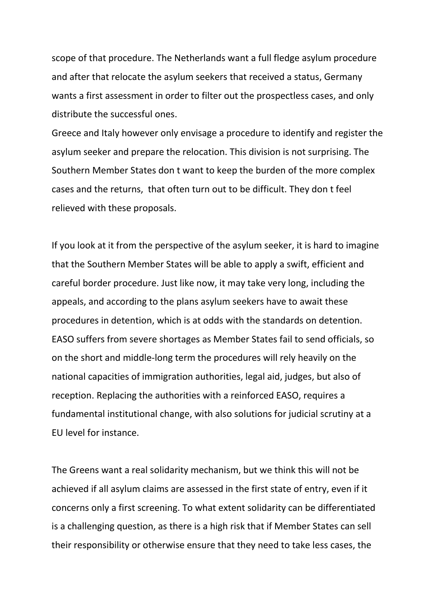scope of that procedure. The Netherlands want a full fledge asylum procedure and after that relocate the asylum seekers that received a status, Germany wants a first assessment in order to filter out the prospectless cases, and only distribute the successful ones.

Greece and Italy however only envisage a procedure to identify and register the asylum seeker and prepare the relocation. This division is not surprising. The Southern Member States don t want to keep the burden of the more complex cases and the returns, that often turn out to be difficult. They don t feel relieved with these proposals.

If you look at it from the perspective of the asylum seeker, it is hard to imagine that the Southern Member States will be able to apply a swift, efficient and careful border procedure. Just like now, it may take very long, including the appeals, and according to the plans asylum seekers have to await these procedures in detention, which is at odds with the standards on detention. EASO suffers from severe shortages as Member States fail to send officials, so on the short and middle-long term the procedures will rely heavily on the national capacities of immigration authorities, legal aid, judges, but also of reception. Replacing the authorities with a reinforced EASO, requires a fundamental institutional change, with also solutions for judicial scrutiny at a EU level for instance.

The Greens want a real solidarity mechanism, but we think this will not be achieved if all asylum claims are assessed in the first state of entry, even if it concerns only a first screening. To what extent solidarity can be differentiated is a challenging question, as there is a high risk that if Member States can sell their responsibility or otherwise ensure that they need to take less cases, the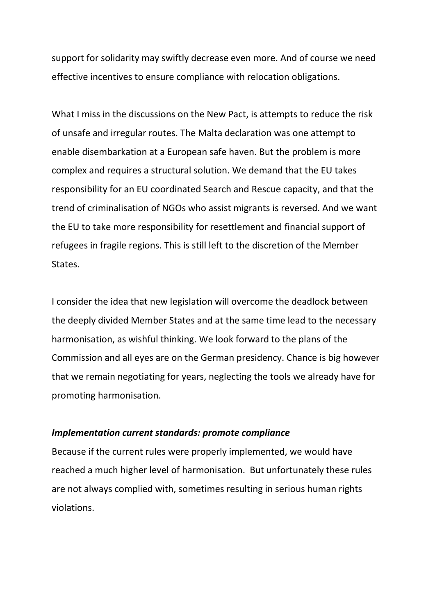support for solidarity may swiftly decrease even more. And of course we need effective incentives to ensure compliance with relocation obligations.

What I miss in the discussions on the New Pact, is attempts to reduce the risk of unsafe and irregular routes. The Malta declaration was one attempt to enable disembarkation at a European safe haven. But the problem is more complex and requires a structural solution. We demand that the EU takes responsibility for an EU coordinated Search and Rescue capacity, and that the trend of criminalisation of NGOs who assist migrants is reversed. And we want the EU to take more responsibility for resettlement and financial support of refugees in fragile regions. This is still left to the discretion of the Member States.

I consider the idea that new legislation will overcome the deadlock between the deeply divided Member States and at the same time lead to the necessary harmonisation, as wishful thinking. We look forward to the plans of the Commission and all eyes are on the German presidency. Chance is big however that we remain negotiating for years, neglecting the tools we already have for promoting harmonisation.

### *Implementation current standards: promote compliance*

Because if the current rules were properly implemented, we would have reached a much higher level of harmonisation. But unfortunately these rules are not always complied with, sometimes resulting in serious human rights violations.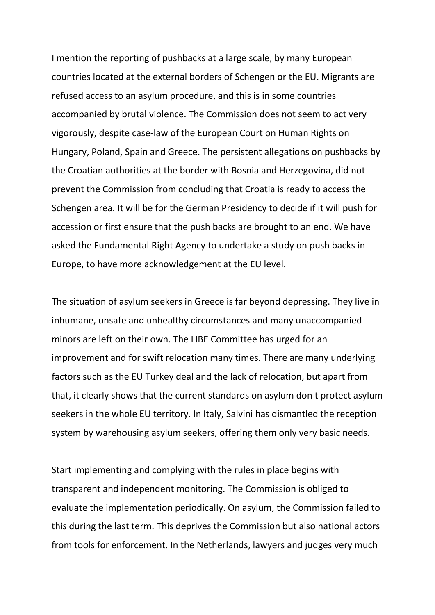I mention the reporting of pushbacks at a large scale, by many European countries located at the external borders of Schengen or the EU. Migrants are refused access to an asylum procedure, and this is in some countries accompanied by brutal violence. The Commission does not seem to act very vigorously, despite case-law of the European Court on Human Rights on Hungary, Poland, Spain and Greece. The persistent allegations on pushbacks by the Croatian authorities at the border with Bosnia and Herzegovina, did not prevent the Commission from concluding that Croatia is ready to access the Schengen area. It will be for the German Presidency to decide if it will push for accession or first ensure that the push backs are brought to an end. We have asked the Fundamental Right Agency to undertake a study on push backs in Europe, to have more acknowledgement at the EU level.

The situation of asylum seekers in Greece is far beyond depressing. They live in inhumane, unsafe and unhealthy circumstances and many unaccompanied minors are left on their own. The LIBE Committee has urged for an improvement and for swift relocation many times. There are many underlying factors such as the EU Turkey deal and the lack of relocation, but apart from that, it clearly shows that the current standards on asylum don t protect asylum seekers in the whole EU territory. In Italy, Salvini has dismantled the reception system by warehousing asylum seekers, offering them only very basic needs.

Start implementing and complying with the rules in place begins with transparent and independent monitoring. The Commission is obliged to evaluate the implementation periodically. On asylum, the Commission failed to this during the last term. This deprives the Commission but also national actors from tools for enforcement. In the Netherlands, lawyers and judges very much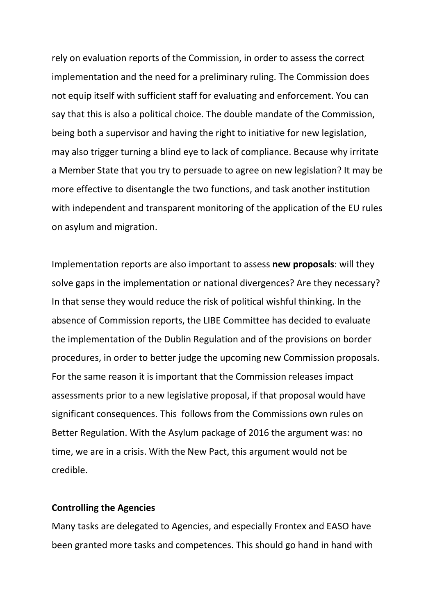rely on evaluation reports of the Commission, in order to assess the correct implementation and the need for a preliminary ruling. The Commission does not equip itself with sufficient staff for evaluating and enforcement. You can say that this is also a political choice. The double mandate of the Commission, being both a supervisor and having the right to initiative for new legislation, may also trigger turning a blind eye to lack of compliance. Because why irritate a Member State that you try to persuade to agree on new legislation? It may be more effective to disentangle the two functions, and task another institution with independent and transparent monitoring of the application of the EU rules on asylum and migration.

Implementation reports are also important to assess **new proposals**: will they solve gaps in the implementation or national divergences? Are they necessary? In that sense they would reduce the risk of political wishful thinking. In the absence of Commission reports, the LIBE Committee has decided to evaluate the implementation of the Dublin Regulation and of the provisions on border procedures, in order to better judge the upcoming new Commission proposals. For the same reason it is important that the Commission releases impact assessments prior to a new legislative proposal, if that proposal would have significant consequences. This follows from the Commissions own rules on Better Regulation. With the Asylum package of 2016 the argument was: no time, we are in a crisis. With the New Pact, this argument would not be credible.

#### **Controlling the Agencies**

Many tasks are delegated to Agencies, and especially Frontex and EASO have been granted more tasks and competences. This should go hand in hand with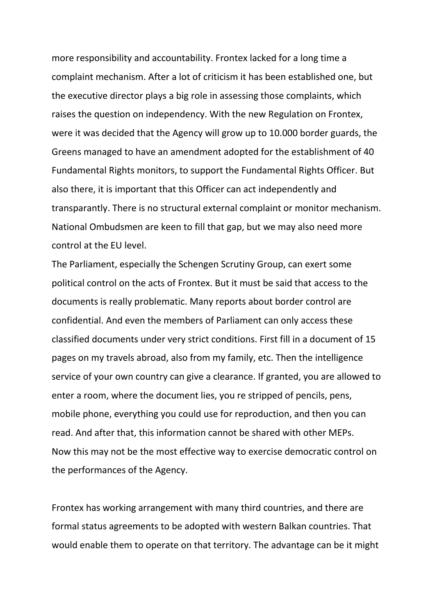more responsibility and accountability. Frontex lacked for a long time a complaint mechanism. After a lot of criticism it has been established one, but the executive director plays a big role in assessing those complaints, which raises the question on independency. With the new Regulation on Frontex, were it was decided that the Agency will grow up to 10.000 border guards, the Greens managed to have an amendment adopted for the establishment of 40 Fundamental Rights monitors, to support the Fundamental Rights Officer. But also there, it is important that this Officer can act independently and transparantly. There is no structural external complaint or monitor mechanism. National Ombudsmen are keen to fill that gap, but we may also need more control at the EU level.

The Parliament, especially the Schengen Scrutiny Group, can exert some political control on the acts of Frontex. But it must be said that access to the documents is really problematic. Many reports about border control are confidential. And even the members of Parliament can only access these classified documents under very strict conditions. First fill in a document of 15 pages on my travels abroad, also from my family, etc. Then the intelligence service of your own country can give a clearance. If granted, you are allowed to enter a room, where the document lies, you re stripped of pencils, pens, mobile phone, everything you could use for reproduction, and then you can read. And after that, this information cannot be shared with other MEPs. Now this may not be the most effective way to exercise democratic control on the performances of the Agency.

Frontex has working arrangement with many third countries, and there are formal status agreements to be adopted with western Balkan countries. That would enable them to operate on that territory. The advantage can be it might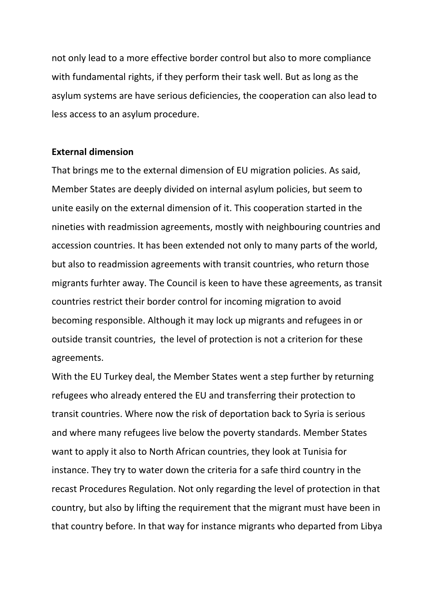not only lead to a more effective border control but also to more compliance with fundamental rights, if they perform their task well. But as long as the asylum systems are have serious deficiencies, the cooperation can also lead to less access to an asylum procedure.

### **External dimension**

That brings me to the external dimension of EU migration policies. As said, Member States are deeply divided on internal asylum policies, but seem to unite easily on the external dimension of it. This cooperation started in the nineties with readmission agreements, mostly with neighbouring countries and accession countries. It has been extended not only to many parts of the world, but also to readmission agreements with transit countries, who return those migrants furhter away. The Council is keen to have these agreements, as transit countries restrict their border control for incoming migration to avoid becoming responsible. Although it may lock up migrants and refugees in or outside transit countries, the level of protection is not a criterion for these agreements.

With the EU Turkey deal, the Member States went a step further by returning refugees who already entered the EU and transferring their protection to transit countries. Where now the risk of deportation back to Syria is serious and where many refugees live below the poverty standards. Member States want to apply it also to North African countries, they look at Tunisia for instance. They try to water down the criteria for a safe third country in the recast Procedures Regulation. Not only regarding the level of protection in that country, but also by lifting the requirement that the migrant must have been in that country before. In that way for instance migrants who departed from Libya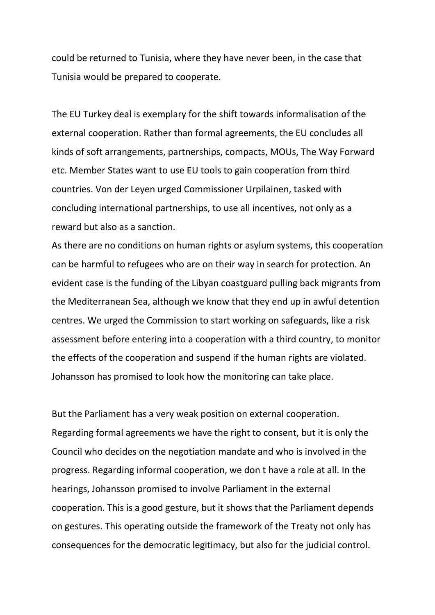could be returned to Tunisia, where they have never been, in the case that Tunisia would be prepared to cooperate.

The EU Turkey deal is exemplary for the shift towards informalisation of the external cooperation. Rather than formal agreements, the EU concludes all kinds of soft arrangements, partnerships, compacts, MOUs, The Way Forward etc. Member States want to use EU tools to gain cooperation from third countries. Von der Leyen urged Commissioner Urpilainen, tasked with concluding international partnerships, to use all incentives, not only as a reward but also as a sanction.

As there are no conditions on human rights or asylum systems, this cooperation can be harmful to refugees who are on their way in search for protection. An evident case is the funding of the Libyan coastguard pulling back migrants from the Mediterranean Sea, although we know that they end up in awful detention centres. We urged the Commission to start working on safeguards, like a risk assessment before entering into a cooperation with a third country, to monitor the effects of the cooperation and suspend if the human rights are violated. Johansson has promised to look how the monitoring can take place.

But the Parliament has a very weak position on external cooperation. Regarding formal agreements we have the right to consent, but it is only the Council who decides on the negotiation mandate and who is involved in the progress. Regarding informal cooperation, we don t have a role at all. In the hearings, Johansson promised to involve Parliament in the external cooperation. This is a good gesture, but it shows that the Parliament depends on gestures. This operating outside the framework of the Treaty not only has consequences for the democratic legitimacy, but also for the judicial control.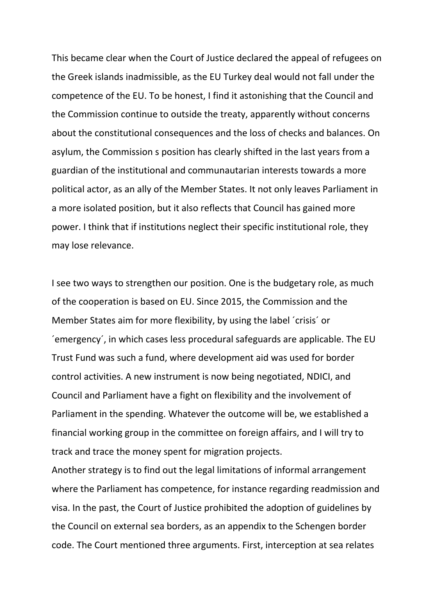This became clear when the Court of Justice declared the appeal of refugees on the Greek islands inadmissible, as the EU Turkey deal would not fall under the competence of the EU. To be honest, I find it astonishing that the Council and the Commission continue to outside the treaty, apparently without concerns about the constitutional consequences and the loss of checks and balances. On asylum, the Commission s position has clearly shifted in the last years from a guardian of the institutional and communautarian interests towards a more political actor, as an ally of the Member States. It not only leaves Parliament in a more isolated position, but it also reflects that Council has gained more power. I think that if institutions neglect their specific institutional role, they may lose relevance.

I see two ways to strengthen our position. One is the budgetary role, as much of the cooperation is based on EU. Since 2015, the Commission and the Member States aim for more flexibility, by using the label ´crisis´ or ´emergency´, in which cases less procedural safeguards are applicable. The EU Trust Fund was such a fund, where development aid was used for border control activities. A new instrument is now being negotiated, NDICI, and Council and Parliament have a fight on flexibility and the involvement of Parliament in the spending. Whatever the outcome will be, we established a financial working group in the committee on foreign affairs, and I will try to track and trace the money spent for migration projects.

Another strategy is to find out the legal limitations of informal arrangement where the Parliament has competence, for instance regarding readmission and visa. In the past, the Court of Justice prohibited the adoption of guidelines by the Council on external sea borders, as an appendix to the Schengen border code. The Court mentioned three arguments. First, interception at sea relates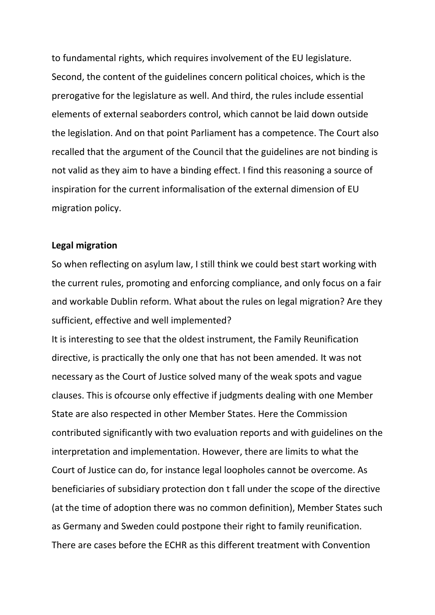to fundamental rights, which requires involvement of the EU legislature. Second, the content of the guidelines concern political choices, which is the prerogative for the legislature as well. And third, the rules include essential elements of external seaborders control, which cannot be laid down outside the legislation. And on that point Parliament has a competence. The Court also recalled that the argument of the Council that the guidelines are not binding is not valid as they aim to have a binding effect. I find this reasoning a source of inspiration for the current informalisation of the external dimension of EU migration policy.

## **Legal migration**

So when reflecting on asylum law, I still think we could best start working with the current rules, promoting and enforcing compliance, and only focus on a fair and workable Dublin reform. What about the rules on legal migration? Are they sufficient, effective and well implemented?

It is interesting to see that the oldest instrument, the Family Reunification directive, is practically the only one that has not been amended. It was not necessary as the Court of Justice solved many of the weak spots and vague clauses. This is ofcourse only effective if judgments dealing with one Member State are also respected in other Member States. Here the Commission contributed significantly with two evaluation reports and with guidelines on the interpretation and implementation. However, there are limits to what the Court of Justice can do, for instance legal loopholes cannot be overcome. As beneficiaries of subsidiary protection don t fall under the scope of the directive (at the time of adoption there was no common definition), Member States such as Germany and Sweden could postpone their right to family reunification. There are cases before the ECHR as this different treatment with Convention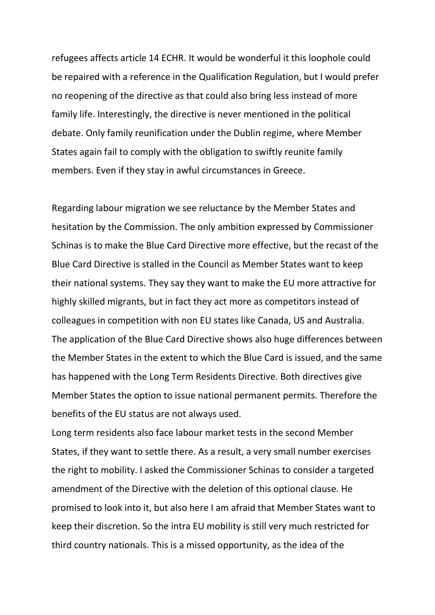refugees affects article 14 ECHR. It would be wonderful it this loophole could be repaired with a reference in the Qualification Regulation, but I would prefer no reopening of the directive as that could also bring less instead of more family life. Interestingly, the directive is never mentioned in the political debate. Only family reunification under the Dublin regime, where Member States again fail to comply with the obligation to swiftly reunite family members. Even if they stay in awful circumstances in Greece.

Regarding labour migration we see reluctance by the Member States and hesitation by the Commission. The only ambition expressed by Commissioner Schinas is to make the Blue Card Directive more effective, but the recast of the Blue Card Directive is stalled in the Council as Member States want to keep their national systems. They say they want to make the EU more attractive for highly skilled migrants, but in fact they act more as competitors instead of colleagues in competition with non EU states like Canada, US and Australia. The application of the Blue Card Directive shows also huge differences between the Member States in the extent to which the Blue Card is issued, and the same has happened with the Long Term Residents Directive. Both directives give Member States the option to issue national permanent permits. Therefore the benefits of the EU status are not always used.

Long term residents also face labour market tests in the second Member States, if they want to settle there. As a result, a very small number exercises the right to mobility. I asked the Commissioner Schinas to consider a targeted amendment of the Directive with the deletion of this optional clause. He promised to look into it, but also here I am afraid that Member States want to keep their discretion. So the intra EU mobility is still very much restricted for third country nationals. This is a missed opportunity, as the idea of the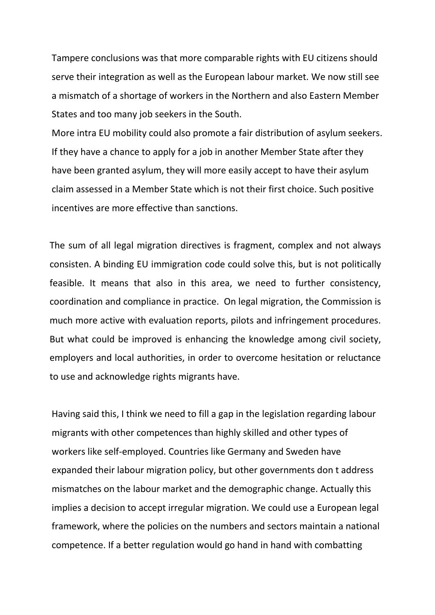Tampere conclusions was that more comparable rights with EU citizens should serve their integration as well as the European labour market. We now still see a mismatch of a shortage of workers in the Northern and also Eastern Member States and too many job seekers in the South.

More intra EU mobility could also promote a fair distribution of asylum seekers. If they have a chance to apply for a job in another Member State after they have been granted asylum, they will more easily accept to have their asylum claim assessed in a Member State which is not their first choice. Such positive incentives are more effective than sanctions.

The sum of all legal migration directives is fragment, complex and not always consisten. A binding EU immigration code could solve this, but is not politically feasible. It means that also in this area, we need to further consistency, coordination and compliance in practice. On legal migration, the Commission is much more active with evaluation reports, pilots and infringement procedures. But what could be improved is enhancing the knowledge among civil society, employers and local authorities, in order to overcome hesitation or reluctance to use and acknowledge rights migrants have.

Having said this, I think we need to fill a gap in the legislation regarding labour migrants with other competences than highly skilled and other types of workers like self-employed. Countries like Germany and Sweden have expanded their labour migration policy, but other governments don t address mismatches on the labour market and the demographic change. Actually this implies a decision to accept irregular migration. We could use a European legal framework, where the policies on the numbers and sectors maintain a national competence. If a better regulation would go hand in hand with combatting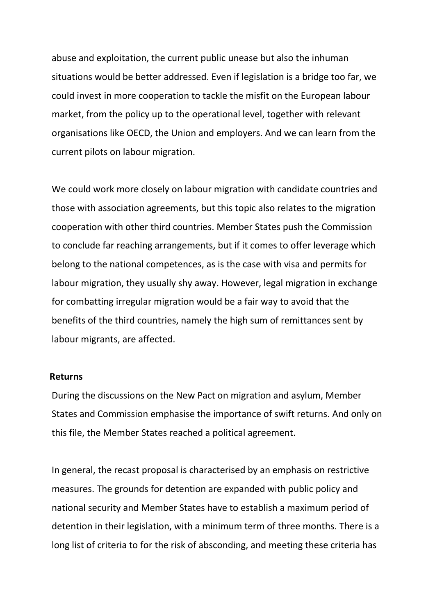abuse and exploitation, the current public unease but also the inhuman situations would be better addressed. Even if legislation is a bridge too far, we could invest in more cooperation to tackle the misfit on the European labour market, from the policy up to the operational level, together with relevant organisations like OECD, the Union and employers. And we can learn from the current pilots on labour migration.

We could work more closely on labour migration with candidate countries and those with association agreements, but this topic also relates to the migration cooperation with other third countries. Member States push the Commission to conclude far reaching arrangements, but if it comes to offer leverage which belong to the national competences, as is the case with visa and permits for labour migration, they usually shy away. However, legal migration in exchange for combatting irregular migration would be a fair way to avoid that the benefits of the third countries, namely the high sum of remittances sent by labour migrants, are affected.

#### **Returns**

During the discussions on the New Pact on migration and asylum, Member States and Commission emphasise the importance of swift returns. And only on this file, the Member States reached a political agreement.

In general, the recast proposal is characterised by an emphasis on restrictive measures. The grounds for detention are expanded with public policy and national security and Member States have to establish a maximum period of detention in their legislation, with a minimum term of three months. There is a long list of criteria to for the risk of absconding, and meeting these criteria has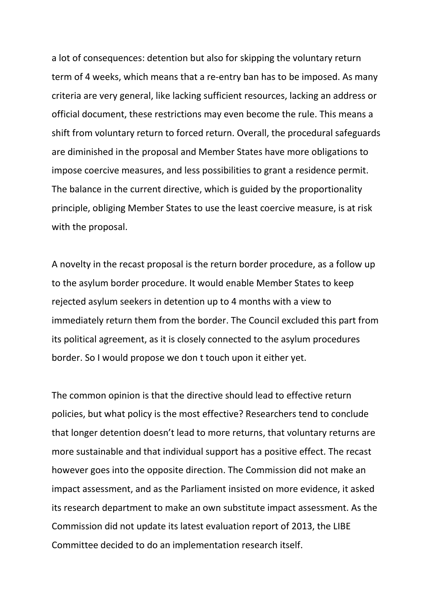a lot of consequences: detention but also for skipping the voluntary return term of 4 weeks, which means that a re-entry ban has to be imposed. As many criteria are very general, like lacking sufficient resources, lacking an address or official document, these restrictions may even become the rule. This means a shift from voluntary return to forced return. Overall, the procedural safeguards are diminished in the proposal and Member States have more obligations to impose coercive measures, and less possibilities to grant a residence permit. The balance in the current directive, which is guided by the proportionality principle, obliging Member States to use the least coercive measure, is at risk with the proposal.

A novelty in the recast proposal is the return border procedure, as a follow up to the asylum border procedure. It would enable Member States to keep rejected asylum seekers in detention up to 4 months with a view to immediately return them from the border. The Council excluded this part from its political agreement, as it is closely connected to the asylum procedures border. So I would propose we don t touch upon it either yet.

The common opinion is that the directive should lead to effective return policies, but what policy is the most effective? Researchers tend to conclude that longer detention doesn't lead to more returns, that voluntary returns are more sustainable and that individual support has a positive effect. The recast however goes into the opposite direction. The Commission did not make an impact assessment, and as the Parliament insisted on more evidence, it asked its research department to make an own substitute impact assessment. As the Commission did not update its latest evaluation report of 2013, the LIBE Committee decided to do an implementation research itself.